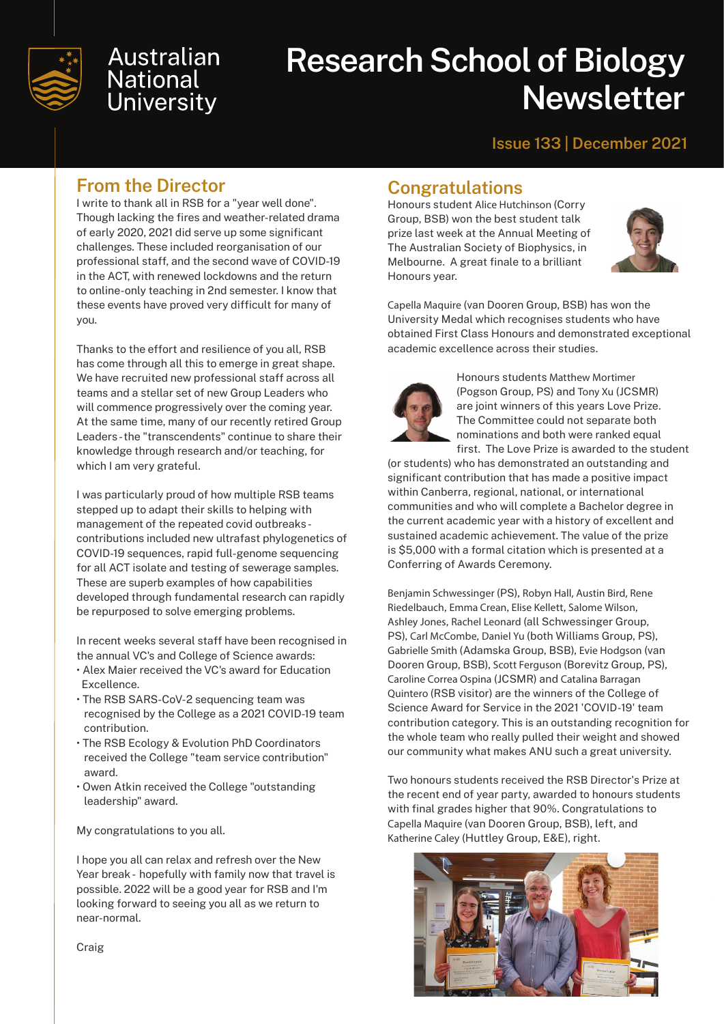

# **Australian National University**

# **Research School of Biology Newsletter**

#### **Issue 133 | December 2021**

#### **From the Director**

I write to thank all in RSB for a "year well done". Though lacking the fires and weather-related drama of early 2020, 2021 did serve up some significant challenges. These included reorganisation of our professional staff, and the second wave of COVID-19 in the ACT, with renewed lockdowns and the return to online-only teaching in 2nd semester. I know that these events have proved very difficult for many of you.

Thanks to the effort and resilience of you all, RSB has come through all this to emerge in great shape. We have recruited new professional staff across all teams and a stellar set of new Group Leaders who will commence progressively over the coming year. At the same time, many of our recently retired Group Leaders - the "transcendents" continue to share their knowledge through research and/or teaching, for which I am very grateful.

I was particularly proud of how multiple RSB teams stepped up to adapt their skills to helping with management of the repeated covid outbreaks contributions included new ultrafast phylogenetics of COVID-19 sequences, rapid full-genome sequencing for all ACT isolate and testing of sewerage samples. These are superb examples of how capabilities developed through fundamental research can rapidly be repurposed to solve emerging problems.

In recent weeks several staff have been recognised in the annual VC's and College of Science awards:

- Alex Maier received the VC's award for Education Excellence.
- The RSB SARS-CoV-2 sequencing team was recognised by the College as a 2021 COVID-19 team contribution.
- The RSB Ecology & Evolution PhD Coordinators received the College "team service contribution" award.
- Owen Atkin received the College "outstanding leadership" award.

My congratulations to you all.

I hope you all can relax and refresh over the New Year break - hopefully with family now that travel is possible. 2022 will be a good year for RSB and I'm looking forward to seeing you all as we return to near-normal.

#### **Congratulations**

Honours student Alice Hutchinson (Corry Group, BSB) won the best student talk prize last week at the Annual Meeting of The Australian Society of Biophysics, in Melbourne. A great finale to a brilliant Honours year.



Capella Maquire (van Dooren Group, BSB) has won the University Medal which recognises students who have obtained First Class Honours and demonstrated exceptional academic excellence across their studies.



Honours students Matthew Mortimer (Pogson Group, PS) and Tony Xu (JCSMR) are joint winners of this years Love Prize. The Committee could not separate both nominations and both were ranked equal first. The Love Prize is awarded to the student

(or students) who has demonstrated an outstanding and significant contribution that has made a positive impact within Canberra, regional, national, or international communities and who will complete a Bachelor degree in the current academic year with a history of excellent and sustained academic achievement. The value of the prize is \$5,000 with a formal citation which is presented at a Conferring of Awards Ceremony.

Benjamin Schwessinger (PS), Robyn Hall, Austin Bird, Rene Riedelbauch, Emma Crean, Elise Kellett, Salome Wilson, Ashley Jones, Rachel Leonard (all Schwessinger Group, PS), Carl McCombe, Daniel Yu (both Williams Group, PS), Gabrielle Smith (Adamska Group, BSB), Evie Hodgson (van Dooren Group, BSB), Scott Ferguson (Borevitz Group, PS), Caroline Correa Ospina (JCSMR) and Catalina Barragan Quintero (RSB visitor) are the winners of the College of Science Award for Service in the 2021 'COVID-19' team contribution category. This is an outstanding recognition for the whole team who really pulled their weight and showed our community what makes ANU such a great university.

Two honours students received the RSB Director's Prize at the recent end of year party, awarded to honours students with final grades higher that 90%. Congratulations to Capella Maquire (van Dooren Group, BSB), left, and Katherine Caley (Huttley Group, E&E), right.



Craig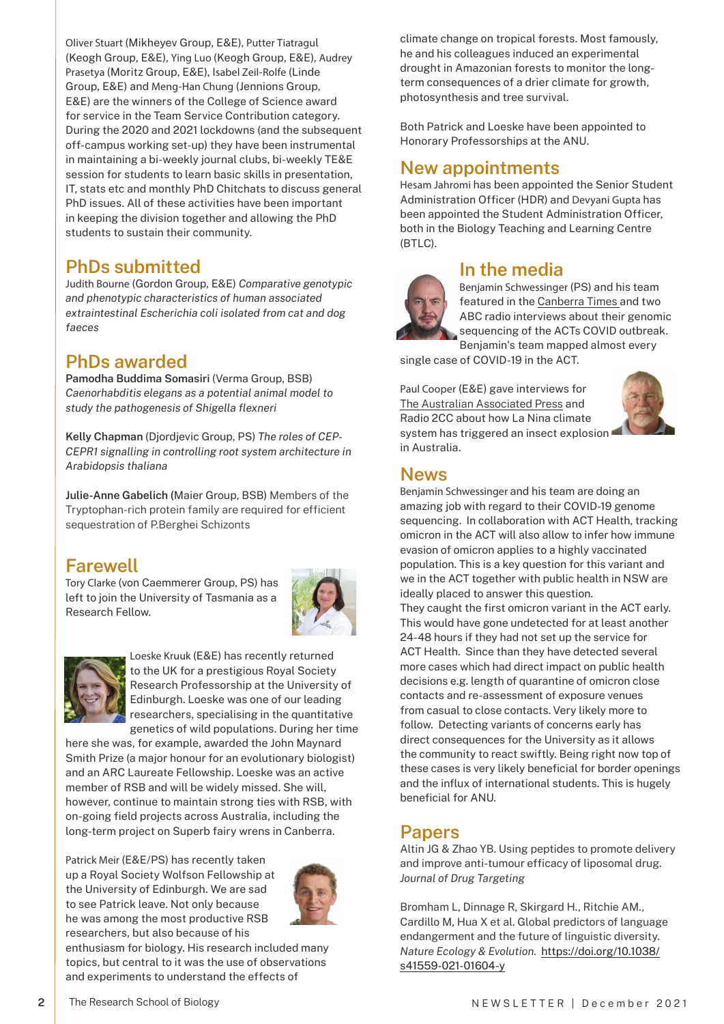Oliver Stuart (Mikheyev Group, E&E), Putter Tiatragul (Keogh Group, E&E), Ying Luo (Keogh Group, E&E), Audrey Prasetya (Moritz Group, E&E), Isabel Zeil-Rolfe (Linde Group, E&E) and Meng-Han Chung (Jennions Group, E&E) are the winners of the College of Science award for service in the Team Service Contribution category. During the 2020 and 2021 lockdowns (and the subsequent off-campus working set-up) they have been instrumental in maintaining a bi-weekly journal clubs, bi-weekly TE&E session for students to learn basic skills in presentation, IT, stats etc and monthly PhD Chitchats to discuss general PhD issues. All of these activities have been important in keeping the division together and allowing the PhD students to sustain their community.

# **PhDs submitted**

Judith Bourne (Gordon Group, E&E) *Comparative genotypic and phenotypic characteristics of human associated extraintestinal Escherichia coli isolated from cat and dog faeces*

# **PhDs awarded**

**Pamodha Buddima Somasiri** (Verma Group, BSB) *Caenorhabditis elegans as a potential animal model to study the pathogenesis of Shigella flexneri*

**Kelly Chapman** (Djordjevic Group, PS) *The roles of CEP-CEPR1 signalling in controlling root system architecture in Arabidopsis thaliana*

**Julie-Anne Gabelich (**Maier Group, BSB) Members of the Tryptophan-rich protein family are required for efficient sequestration of P.Berghei Schizonts

# **Farewell**

Tory Clarke (von Caemmerer Group, PS) has left to join the University of Tasmania as a Research Fellow.





Loeske Kruuk (E&E) has recently returned to the UK for a prestigious Royal Society Research Professorship at the University of Edinburgh. Loeske was one of our leading researchers, specialising in the quantitative genetics of wild populations. During her time

here she was, for example, awarded the John Maynard Smith Prize (a major honour for an evolutionary biologist) and an ARC Laureate Fellowship. Loeske was an active member of RSB and will be widely missed. She will, however, continue to maintain strong ties with RSB, with on-going field projects across Australia, including the long-term project on Superb fairy wrens in Canberra.

Patrick Meir (E&E/PS) has recently taken up a Royal Society Wolfson Fellowship at the University of Edinburgh. We are sad to see Patrick leave. Not only because he was among the most productive RSB researchers, but also because of his



enthusiasm for biology. His research included many topics, but central to it was the use of observations and experiments to understand the effects of

climate change on tropical forests. Most famously, he and his colleagues induced an experimental drought in Amazonian forests to monitor the longterm consequences of a drier climate for growth, photosynthesis and tree survival.

Both Patrick and Loeske have been appointed to Honorary Professorships at the ANU.

#### **New appointments**

Hesam Jahromi has been appointed the Senior Student Administration Officer (HDR) and Devyani Gupta has been appointed the Student Administration Officer, both in the Biology Teaching and Learning Centre (BTLC).

# **In the media**

Benjamin Schwessinger (PS) and his team featured in the [Canberra Times](https://www.canberratimes.com.au/story/7521948/superspreader-party-introduced-new-lineage-of-virus-to-the-act/) and two ABC radio interviews about their genomic sequencing of the ACTs COVID outbreak.

Benjamin's team mapped almost every single case of COVID-19 in the ACT.

Paul Cooper (E&E) gave interviews for [The Australian Associated Press](https://www.aap.com.au/news/la-nina-triggers-aussie-insect-explosion/) and Radio 2CC about how La Nina climate system has triggered an insect explosion in Australia.



#### **News**

Benjamin Schwessinger and his team are doing an amazing job with regard to their COVID-19 genome sequencing. In collaboration with ACT Health, tracking omicron in the ACT will also allow to infer how immune evasion of omicron applies to a highly vaccinated population. This is a key question for this variant and we in the ACT together with public health in NSW are ideally placed to answer this question. They caught the first omicron variant in the ACT early. This would have gone undetected for at least another 24-48 hours if they had not set up the service for ACT Health. Since than they have detected several more cases which had direct impact on public health decisions e.g. length of quarantine of omicron close contacts and re-assessment of exposure venues from casual to close contacts. Very likely more to follow. Detecting variants of concerns early has direct consequences for the University as it allows the community to react swiftly. Being right now top of these cases is very likely beneficial for border openings and the influx of international students. This is hugely beneficial for ANU.

#### **Papers**

Altin JG & Zhao YB. Using peptides to promote delivery and improve anti-tumour efficacy of liposomal drug. *Journal of Drug Targeting* 

Bromham L, Dinnage R, Skirgard H., Ritchie AM., Cardillo M, Hua X et al. Global predictors of language endangerment and the future of linguistic diversity. *Nature Ecology & Evolution.* [https://doi.org/10.1038/](https://doi.org/10.1038/s41559-021-01604-y ) [s41559-021-01604-y](https://doi.org/10.1038/s41559-021-01604-y )

**2**